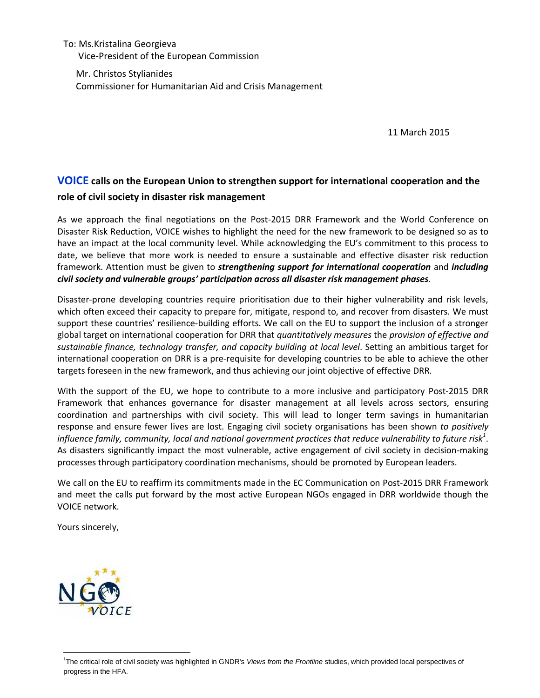To: Ms.Kristalina Georgieva Vice-President of the European Commission

Mr. Christos Stylianides Commissioner for Humanitarian Aid and Crisis Management

11 March 2015

## **VOICE calls on the European Union to strengthen support for international cooperation and the role of civil society in disaster risk management**

As we approach the final negotiations on the Post-2015 DRR Framework and the [World Conference on](http://www.wcdrr.org/)  [Disaster Risk Reduction,](http://www.wcdrr.org/) VOICE wishes to highlight the need for the new framework to be designed so as to have an impact at the local community level. While acknowledging the EU's commitment to this process to date, we believe that more work is needed to ensure a sustainable and effective disaster risk reduction framework. Attention must be given to *strengthening support for international cooperation* and *including civil society and vulnerable groups' participation across all disaster risk management phases.*

Disaster-prone developing countries require prioritisation due to their higher vulnerability and risk levels, which often exceed their capacity to prepare for, mitigate, respond to, and recover from disasters. We must support these countries' resilience-building efforts. We call on the EU to support the inclusion of a stronger global target on international cooperation for DRR that *quantitatively measures* the *provision of effective and sustainable finance, technology transfer, and capacity building at local level*. Setting an ambitious target for international cooperation on DRR is a pre-requisite for developing countries to be able to achieve the other targets foreseen in the new framework, and thus achieving our joint objective of effective DRR.

With the support of the EU, we hope to contribute to a more inclusive and participatory Post-2015 DRR Framework that enhances governance for disaster management at all levels across sectors, ensuring coordination and partnerships with civil society. This will lead to longer term savings in humanitarian response and ensure fewer lives are lost. Engaging civil society organisations has been shown *to positively influence family, community, local and national government practices that reduce vulnerability to future risk<sup>1</sup>* . As disasters significantly impact the most vulnerable, active engagement of civil society in decision-making processes through participatory coordination mechanisms, should be promoted by European leaders.

We call on the EU to reaffirm its commitments made in the EC Communication on Post-2015 DRR Framework and meet the calls put forward by the most active European NGOs engaged in DRR worldwide though the VOICE network.

Yours sincerely,



 $\overline{a}$ 

<sup>1</sup> The critical role of civil society was highlighted in GNDR's *Views from the Frontline* studies, which provided local perspectives of progress in the HFA.